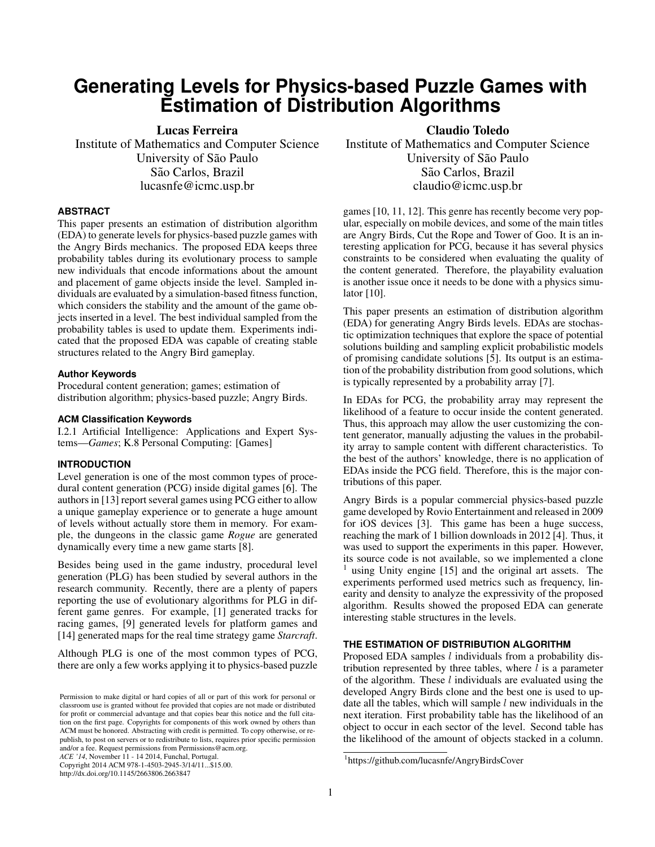# **Generating Levels for Physics-based Puzzle Games with Estimation of Distribution Algorithms**

Lucas Ferreira Institute of Mathematics and Computer Science University of São Paulo São Carlos, Brazil lucasnfe@icmc.usp.br

## **ABSTRACT**

This paper presents an estimation of distribution algorithm (EDA) to generate levels for physics-based puzzle games with the Angry Birds mechanics. The proposed EDA keeps three probability tables during its evolutionary process to sample new individuals that encode informations about the amount and placement of game objects inside the level. Sampled individuals are evaluated by a simulation-based fitness function, which considers the stability and the amount of the game objects inserted in a level. The best individual sampled from the probability tables is used to update them. Experiments indicated that the proposed EDA was capable of creating stable structures related to the Angry Bird gameplay.

## **Author Keywords**

Procedural content generation; games; estimation of distribution algorithm; physics-based puzzle; Angry Birds.

## **ACM Classification Keywords**

I.2.1 Artificial Intelligence: Applications and Expert Systems—*Games*; K.8 Personal Computing: [Games]

# **INTRODUCTION**

Level generation is one of the most common types of procedural content generation (PCG) inside digital games [\[6\]](#page-5-0). The authors in [\[13\]](#page-5-1) report several games using PCG either to allow a unique gameplay experience or to generate a huge amount of levels without actually store them in memory. For example, the dungeons in the classic game *Rogue* are generated dynamically every time a new game starts [\[8\]](#page-5-2).

Besides being used in the game industry, procedural level generation (PLG) has been studied by several authors in the research community. Recently, there are a plenty of papers reporting the use of evolutionary algorithms for PLG in different game genres. For example, [\[1\]](#page-5-3) generated tracks for racing games, [\[9\]](#page-5-4) generated levels for platform games and [\[14\]](#page-5-5) generated maps for the real time strategy game *Starcraft*.

Although PLG is one of the most common types of PCG, there are only a few works applying it to physics-based puzzle

*ACE '14*, November 11 - 14 2014, Funchal, Portugal. Copyright 2014 ACM 978-1-4503-2945-3/14/11...\$15.00.

http://dx.doi.org/10.1145/2663806.2663847

Claudio Toledo

Institute of Mathematics and Computer Science University of São Paulo São Carlos, Brazil claudio@icmc.usp.br

games [\[10,](#page-5-6) [11,](#page-5-7) [12\]](#page-5-8). This genre has recently become very popular, especially on mobile devices, and some of the main titles are Angry Birds, Cut the Rope and Tower of Goo. It is an interesting application for PCG, because it has several physics constraints to be considered when evaluating the quality of the content generated. Therefore, the playability evaluation is another issue once it needs to be done with a physics simulator [\[10\]](#page-5-6).

This paper presents an estimation of distribution algorithm (EDA) for generating Angry Birds levels. EDAs are stochastic optimization techniques that explore the space of potential solutions building and sampling explicit probabilistic models of promising candidate solutions [\[5\]](#page-5-9). Its output is an estimation of the probability distribution from good solutions, which is typically represented by a probability array [\[7\]](#page-5-10).

In EDAs for PCG, the probability array may represent the likelihood of a feature to occur inside the content generated. Thus, this approach may allow the user customizing the content generator, manually adjusting the values in the probability array to sample content with different characteristics. To the best of the authors' knowledge, there is no application of EDAs inside the PCG field. Therefore, this is the major contributions of this paper.

Angry Birds is a popular commercial physics-based puzzle game developed by Rovio Entertainment and released in 2009 for iOS devices [\[3\]](#page-5-11). This game has been a huge success, reaching the mark of 1 billion downloads in 2012 [\[4\]](#page-5-12). Thus, it was used to support the experiments in this paper. However, its source code is not available, so we implemented a clone  $<sup>1</sup>$  $<sup>1</sup>$  $<sup>1</sup>$  using Unity engine [\[15\]](#page-5-13) and the original art assets. The</sup> experiments performed used metrics such as frequency, linearity and density to analyze the expressivity of the proposed algorithm. Results showed the proposed EDA can generate interesting stable structures in the levels.

## **THE ESTIMATION OF DISTRIBUTION ALGORITHM**

Proposed EDA samples *l* individuals from a probability distribution represented by three tables, where  $l$  is a parameter of the algorithm. These  $l$  individuals are evaluated using the developed Angry Birds clone and the best one is used to update all the tables, which will sample  $l$  new individuals in the next iteration. First probability table has the likelihood of an object to occur in each sector of the level. Second table has the likelihood of the amount of objects stacked in a column.

Permission to make digital or hard copies of all or part of this work for personal or classroom use is granted without fee provided that copies are not made or distributed for profit or commercial advantage and that copies bear this notice and the full citation on the first page. Copyrights for components of this work owned by others than ACM must be honored. Abstracting with credit is permitted. To copy otherwise, or republish, to post on servers or to redistribute to lists, requires prior specific permission and/or a fee. Request permissions from Permissions@acm.org.

<span id="page-0-0"></span><sup>1</sup> https://github.com/lucasnfe/AngryBirdsCover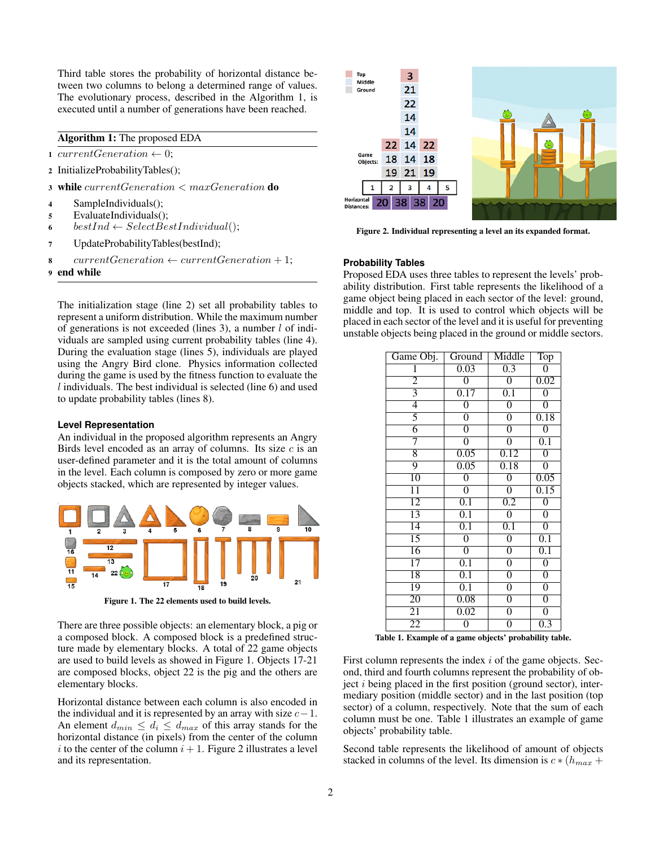Third table stores the probability of horizontal distance between two columns to belong a determined range of values. The evolutionary process, described in the Algorithm [1,](#page-1-0) is executed until a number of generations have been reached.

|  | <b>Algorithm 1:</b> The proposed EDA |
|--|--------------------------------------|
|--|--------------------------------------|

- <span id="page-1-0"></span>1 currentGeneration  $\leftarrow 0$ ;
- 2 InitializeProbabilityTables();

3 while  $currentGeneration < maxGeneration$  do

- 4 SampleIndividuals();
- 5 EvaluateIndividuals();
- 6 bestInd  $\leftarrow SelectBestIndividual();$
- 7 UpdateProbabilityTables(bestInd);
- 8 currentGeneration  $\leftarrow currentGeneration + 1;$
- 9 end while

The initialization stage (line 2) set all probability tables to represent a uniform distribution. While the maximum number of generations is not exceeded (lines 3), a number  $l$  of individuals are sampled using current probability tables (line 4). During the evaluation stage (lines 5), individuals are played using the Angry Bird clone. Physics information collected during the game is used by the fitness function to evaluate the  $l$  individuals. The best individual is selected (line  $6$ ) and used to update probability tables (lines 8).

#### **Level Representation**

An individual in the proposed algorithm represents an Angry Birds level encoded as an array of columns. Its size  $c$  is an user-defined parameter and it is the total amount of columns in the level. Each column is composed by zero or more game objects stacked, which are represented by integer values.



<span id="page-1-1"></span>Figure 1. The 22 elements used to build levels.

There are three possible objects: an elementary block, a pig or a composed block. A composed block is a predefined structure made by elementary blocks. A total of 22 game objects are used to build levels as showed in Figure [1.](#page-1-1) Objects 17-21 are composed blocks, object 22 is the pig and the others are elementary blocks.

Horizontal distance between each column is also encoded in the individual and it is represented by an array with size  $c-1$ . An element  $d_{min} \leq d_i \leq d_{max}$  of this array stands for the horizontal distance (in pixels) from the center of the column i to the center of the column  $i + 1$ . Figure [2](#page-1-2) illustrates a level and its representation.



<span id="page-1-2"></span>Figure 2. Individual representing a level an its expanded format.

## **Probability Tables**

Proposed EDA uses three tables to represent the levels' probability distribution. First table represents the likelihood of a game object being placed in each sector of the level: ground, middle and top. It is used to control which objects will be placed in each sector of the level and it is useful for preventing unstable objects being placed in the ground or middle sectors.

| Game Obj.       | Ground           | Middle           | $\overline{\text{Top}}$ |
|-----------------|------------------|------------------|-------------------------|
| 1               | 0.03             | $\overline{0.3}$ | $\overline{0}$          |
| $\overline{2}$  | $\overline{0}$   | $\overline{0}$   | 0.02                    |
| $\overline{3}$  | 0.17             | $\overline{0.1}$ | $\overline{0}$          |
| $\overline{4}$  | $\overline{0}$   | $\overline{0}$   | $\overline{0}$          |
| 5               | $\overline{0}$   | $\overline{0}$   | 0.18                    |
| $\overline{6}$  | $\overline{0}$   | $\overline{0}$   | $\overline{0}$          |
| 7               | $\overline{0}$   | $\overline{0}$   | $\overline{0.1}$        |
| $\overline{8}$  | 0.05             | 0.12             | $\overline{0}$          |
| 9               | 0.05             | 0.18             | $\overline{0}$          |
| $\overline{10}$ | $\overline{0}$   | $\overline{0}$   | 0.05                    |
| $\overline{11}$ | $\overline{0}$   | $\overline{0}$   | 0.15                    |
| 12              | $\overline{0.1}$ | 0.2              | $\overline{0}$          |
| $\overline{13}$ | $\overline{0.1}$ | $\overline{0}$   | $\overline{0}$          |
| $\overline{14}$ | $\overline{0.1}$ | $\overline{0.1}$ | $\overline{0}$          |
| $\overline{15}$ | $\overline{0}$   | $\overline{0}$   | $\overline{0.1}$        |
| 16              | $\overline{0}$   | $\overline{0}$   | $\overline{0.1}$        |
| $\overline{17}$ | $\overline{0.1}$ | $\overline{0}$   | $\overline{0}$          |
| $\overline{18}$ | $\overline{0.1}$ | $\overline{0}$   | $\overline{0}$          |
| 19              | $\overline{0.1}$ | 0                | $\overline{0}$          |
| $\overline{20}$ | 0.08             | $\overline{0}$   | $\overline{0}$          |
| $\overline{21}$ | 0.02             | $\overline{0}$   | $\overline{0}$          |
| $\overline{22}$ | $\overline{0}$   | 0                | 0.3                     |

<span id="page-1-3"></span>Table 1. Example of a game objects' probability table.

First column represents the index  $i$  of the game objects. Second, third and fourth columns represent the probability of object  $i$  being placed in the first position (ground sector), intermediary position (middle sector) and in the last position (top sector) of a column, respectively. Note that the sum of each column must be one. Table [1](#page-1-3) illustrates an example of game objects' probability table.

Second table represents the likelihood of amount of objects stacked in columns of the level. Its dimension is  $c * (h_{max} +$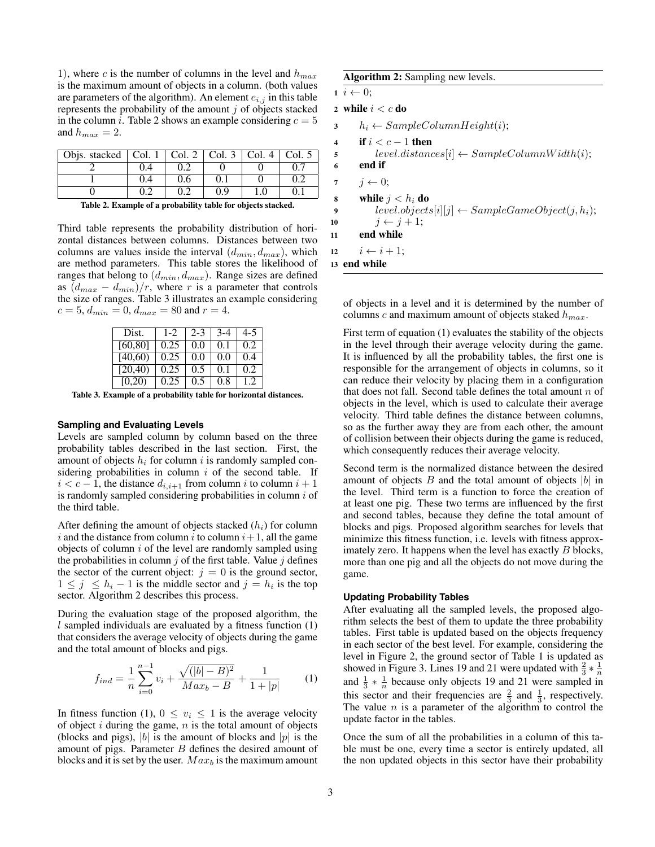1), where c is the number of columns in the level and  $h_{max}$ is the maximum amount of objects in a column. (both values are parameters of the algorithm). An element  $e_{i,j}$  in this table represents the probability of the amount  $j$  of objects stacked in the column *i*. Table [2](#page-2-0) shows an example considering  $c = 5$ and  $h_{max} = 2$ .

| Objs. stacked   Col. 1   Col. 2   Col. 3   Col. 4   Col. 5 |     |     |  |
|------------------------------------------------------------|-----|-----|--|
|                                                            |     |     |  |
|                                                            | 0.6 |     |  |
|                                                            |     | 0.9 |  |

<span id="page-2-0"></span>Table 2. Example of a probability table for objects stacked.

Third table represents the probability distribution of horizontal distances between columns. Distances between two columns are values inside the interval  $(d_{min}, d_{max})$ , which are method parameters. This table stores the likelihood of ranges that belong to  $(d_{min}, d_{max})$ . Range sizes are defined as  $(d_{max} - d_{min})/r$ , where r is a parameter that controls the size of ranges. Table [3](#page-2-1) illustrates an example considering  $c = 5, d_{min} = 0, d_{max} = 80$  and  $r = 4$ .

| Dist.    | $1 - 2$ | $2 - 3$ |     | 4-5   |
|----------|---------|---------|-----|-------|
| [60, 80] | 0.25    | (0.0)   | 0.1 | 0.2   |
| [40,60)  | 0.25    | 0.0     | 0.0 | (0.4) |
| [20,40)  | 0.25    | 0.5     | 0.1 | 0.2   |
| [0.20)   | 0.25    | 0.5     | 0.8 |       |

<span id="page-2-1"></span>Table 3. Example of a probability table for horizontal distances.

#### **Sampling and Evaluating Levels**

Levels are sampled column by column based on the three probability tables described in the last section. First, the amount of objects  $h_i$  for column i is randomly sampled considering probabilities in column  $i$  of the second table. If  $i < c - 1$ , the distance  $d_{i,i+1}$  from column i to column  $i + 1$ is randomly sampled considering probabilities in column  $i$  of the third table.

After defining the amount of objects stacked  $(h_i)$  for column i and the distance from column i to column  $i+1$ , all the game objects of column  $i$  of the level are randomly sampled using the probabilities in column  $j$  of the first table. Value  $j$  defines the sector of the current object:  $j = 0$  is the ground sector,  $1 \leq j \leq h_i - 1$  is the middle sector and  $j = h_i$  is the top sector. Algorithm [2](#page-2-2) describes this process.

During the evaluation stage of the proposed algorithm, the  $l$  sampled individuals are evaluated by a fitness function  $(1)$ that considers the average velocity of objects during the game and the total amount of blocks and pigs.

<span id="page-2-3"></span>
$$
f_{ind} = \frac{1}{n} \sum_{i=0}^{n-1} v_i + \frac{\sqrt{(|b| - B)^2}}{Max_b - B} + \frac{1}{1 + |p|}
$$
 (1)

In fitness function [\(1\)](#page-2-3),  $0 \le v_i \le 1$  is the average velocity of object  $i$  during the game,  $n$  is the total amount of objects (blocks and pigs),  $|b|$  is the amount of blocks and  $|p|$  is the amount of pigs. Parameter  $B$  defines the desired amount of blocks and it is set by the user.  $Max<sub>b</sub>$  is the maximum amount Algorithm 2: Sampling new levels.

```
i \leftarrow 0;
```

```
2 while i < c do
```

```
3 h_i \leftarrow SampleColumnHeight(i);
```
- 4 if  $i < c 1$  then
- 5 level.distances[i]  $\leftarrow SampleColumnWidth(i);$ 6 end if
- 7  $j \leftarrow 0;$
- 

```
8 while j < h_i do
9 level.objects[i][j] \leftarrow SampleGameObject(j, h_i);10 j \leftarrow j + 1;
```

```
11 end while
```

```
12 i \leftarrow i + 1;
```

```
13 end while
```
of objects in a level and it is determined by the number of columns c and maximum amount of objects staked  $h_{max}$ .

First term of equation [\(1\)](#page-2-3) evaluates the stability of the objects in the level through their average velocity during the game. It is influenced by all the probability tables, the first one is responsible for the arrangement of objects in columns, so it can reduce their velocity by placing them in a configuration that does not fall. Second table defines the total amount  $n$  of objects in the level, which is used to calculate their average velocity. Third table defines the distance between columns, so as the further away they are from each other, the amount of collision between their objects during the game is reduced, which consequently reduces their average velocity.

Second term is the normalized distance between the desired amount of objects  $B$  and the total amount of objects  $|b|$  in the level. Third term is a function to force the creation of at least one pig. These two terms are influenced by the first and second tables, because they define the total amount of blocks and pigs. Proposed algorithm searches for levels that minimize this fitness function, i.e. levels with fitness approximately zero. It happens when the level has exactly B blocks, more than one pig and all the objects do not move during the game.

#### **Updating Probability Tables**

After evaluating all the sampled levels, the proposed algorithm selects the best of them to update the three probability tables. First table is updated based on the objects frequency in each sector of the best level. For example, considering the level in Figure [2,](#page-1-2) the ground sector of Table [1](#page-1-3) is updated as showed in Figure [3.](#page-3-0) Lines 19 and 21 were updated with  $\frac{2}{3} * \frac{1}{n}$ and  $\frac{1}{3} * \frac{1}{n}$  because only objects 19 and 21 were sampled in this sector and their frequencies are  $\frac{2}{3}$  and  $\frac{1}{3}$ , respectively. The value  $n$  is a parameter of the algorithm to control the update factor in the tables.

Once the sum of all the probabilities in a column of this table must be one, every time a sector is entirely updated, all the non updated objects in this sector have their probability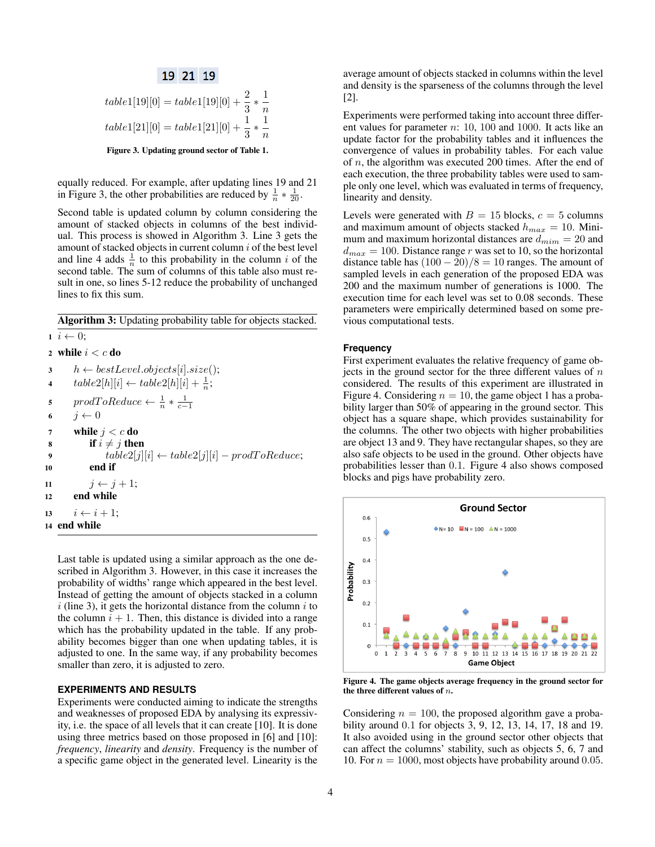## 19 21 19

<span id="page-3-0"></span>*table*1[19][0] = *table*1[19][0] + 
$$
\frac{2}{3} * \frac{1}{n}
$$
  
*table*1[21][0] = *table*1[21][0] +  $\frac{1}{3} * \frac{1}{n}$   
**Figure 3. Updateing ground sector of Table 1.**

equally reduced. For example, after updating lines 19 and 21 in Figure [3,](#page-3-0) the other probabilities are reduced by  $\frac{1}{n} * \frac{1}{20}$ .

Second table is updated column by column considering the amount of stacked objects in columns of the best individual. This process is showed in Algorithm [3.](#page-3-1) Line 3 gets the amount of stacked objects in current column  $i$  of the best level and line 4 adds  $\frac{1}{n}$  to this probability in the column i of the second table. The sum of columns of this table also must result in one, so lines 5-12 reduce the probability of unchanged lines to fix this sum.

Algorithm 3: Updating probability table for objects stacked.

```
i \leftarrow 0;
```

```
2 while i < c do
```

| 3                       | $h \leftarrow bestLevel. objects[i].size();$           |
|-------------------------|--------------------------------------------------------|
| $\overline{\mathbf{4}}$ | $table2[h][i] \leftarrow table2[h][i] + \frac{1}{n};$  |
| 5                       | $prodDReduce \leftarrow \frac{1}{n} * \frac{1}{c-1}$   |
| 6                       | $i \leftarrow 0$                                       |
| $\overline{7}$          | while $j < c$ do                                       |
| 8                       | <b>if</b> $i \neq j$ then                              |
| 9                       | $table2[j][i] \leftarrow table2[j][i] - prodToReduce;$ |
| 10                      | end if                                                 |
| 11                      | $i \leftarrow i+1$ ;                                   |
| 12                      | end while                                              |
| 13                      | $i \leftarrow i+1$ ;                                   |
|                         | 14  end while                                          |
|                         |                                                        |

Last table is updated using a similar approach as the one described in Algorithm [3.](#page-3-1) However, in this case it increases the probability of widths' range which appeared in the best level. Instead of getting the amount of objects stacked in a column  $i$  (line 3), it gets the horizontal distance from the column  $i$  to the column  $i + 1$ . Then, this distance is divided into a range which has the probability updated in the table. If any probability becomes bigger than one when updating tables, it is adjusted to one. In the same way, if any probability becomes smaller than zero, it is adjusted to zero.

## **EXPERIMENTS AND RESULTS**

Experiments were conducted aiming to indicate the strengths and weaknesses of proposed EDA by analysing its expressivity, i.e. the space of all levels that it can create [\[10\]](#page-5-6). It is done using three metrics based on those proposed in [\[6\]](#page-5-0) and [\[10\]](#page-5-6): *frequency*, *linearity* and *density*. Frequency is the number of a specific game object in the generated level. Linearity is the average amount of objects stacked in columns within the level and density is the sparseness of the columns through the level [\[2\]](#page-5-14).

Experiments were performed taking into account three different values for parameter  $n: 10, 100$  and 1000. It acts like an update factor for the probability tables and it influences the convergence of values in probability tables. For each value of n, the algorithm was executed 200 times. After the end of each execution, the three probability tables were used to sample only one level, which was evaluated in terms of frequency, linearity and density.

Levels were generated with  $B = 15$  blocks,  $c = 5$  columns and maximum amount of objects stacked  $h_{max} = 10$ . Minimum and maximum horizontal distances are  $d_{mim} = 20$  and  $d_{max} = 100$ . Distance range r was set to 10, so the horizontal distance table has  $(100 - 20)/8 = 10$  ranges. The amount of sampled levels in each generation of the proposed EDA was 200 and the maximum number of generations is 1000. The execution time for each level was set to 0.08 seconds. These parameters were empirically determined based on some previous computational tests.

#### **Frequency**

First experiment evaluates the relative frequency of game objects in the ground sector for the three different values of  $n$ considered. The results of this experiment are illustrated in Figure [4.](#page-3-2) Considering  $n = 10$ , the game object 1 has a probability larger than 50% of appearing in the ground sector. This object has a square shape, which provides sustainability for the columns. The other two objects with higher probabilities are object 13 and 9. They have rectangular shapes, so they are also safe objects to be used in the ground. Other objects have probabilities lesser than 0.1. Figure [4](#page-3-2) also shows composed blocks and pigs have probability zero.



<span id="page-3-2"></span>Figure 4. The game objects average frequency in the ground sector for the three different values of  $n$ .

Considering  $n = 100$ , the proposed algorithm gave a probability around 0.1 for objects 3, 9, 12, 13, 14, 17, 18 and 19. It also avoided using in the ground sector other objects that can affect the columns' stability, such as objects 5, 6, 7 and 10. For  $n = 1000$ , most objects have probability around 0.05.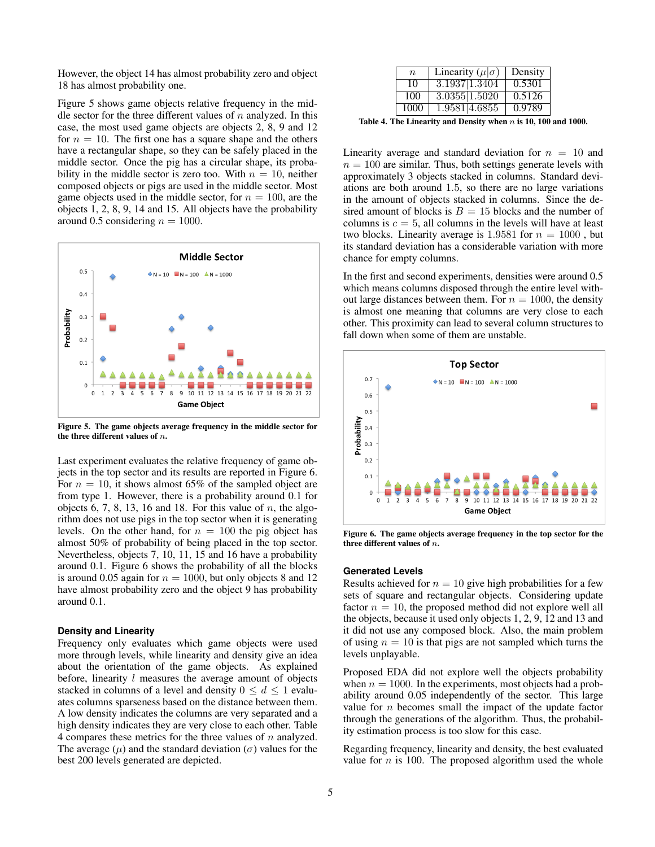However, the object 14 has almost probability zero and object 18 has almost probability one.

Figure [5](#page-4-0) shows game objects relative frequency in the middle sector for the three different values of  $n$  analyzed. In this case, the most used game objects are objects 2, 8, 9 and 12 for  $n = 10$ . The first one has a square shape and the others have a rectangular shape, so they can be safely placed in the middle sector. Once the pig has a circular shape, its probability in the middle sector is zero too. With  $n = 10$ , neither composed objects or pigs are used in the middle sector. Most game objects used in the middle sector, for  $n = 100$ , are the objects 1, 2, 8, 9, 14 and 15. All objects have the probability around 0.5 considering  $n = 1000$ .



<span id="page-4-0"></span>Figure 5. The game objects average frequency in the middle sector for the three different values of  $\mathfrak n.$ 

Last experiment evaluates the relative frequency of game objects in the top sector and its results are reported in Figure [6.](#page-4-1) For  $n = 10$ , it shows almost 65% of the sampled object are from type 1. However, there is a probability around 0.1 for objects 6, 7, 8, 13, 16 and 18. For this value of *n*, the algorithm does not use pigs in the top sector when it is generating levels. On the other hand, for  $n = 100$  the pig object has almost 50% of probability of being placed in the top sector. Nevertheless, objects 7, 10, 11, 15 and 16 have a probability around 0.1. Figure [6](#page-4-1) shows the probability of all the blocks is around 0.05 again for  $n = 1000$ , but only objects 8 and 12 have almost probability zero and the object 9 has probability around 0.1.

#### **Density and Linearity**

Frequency only evaluates which game objects were used more through levels, while linearity and density give an idea about the orientation of the game objects. As explained before, linearity  $l$  measures the average amount of objects stacked in columns of a level and density  $0 \le d \le 1$  evaluates columns sparseness based on the distance between them. A low density indicates the columns are very separated and a high density indicates they are very close to each other. Table [4](#page-4-2) compares these metrics for the three values of n analyzed. The average  $(\mu)$  and the standard deviation  $(\sigma)$  values for the best 200 levels generated are depicted.

| $\,n$ | Linearity $(\mu \sigma)$ | Density |
|-------|--------------------------|---------|
| 10    | 3.1937 1.3404            | 0.5301  |
| 100   | 3.0355 1.5020            | 0.5126  |
| 1000  | 1.9581 4.6855            | 0.9789  |

<span id="page-4-2"></span>Table 4. The Linearity and Density when  $n$  is 10, 100 and 1000.

Linearity average and standard deviation for  $n = 10$  and  $n = 100$  are similar. Thus, both settings generate levels with approximately 3 objects stacked in columns. Standard deviations are both around 1.5, so there are no large variations in the amount of objects stacked in columns. Since the desired amount of blocks is  $B = 15$  blocks and the number of columns is  $c = 5$ , all columns in the levels will have at least two blocks. Linearity average is 1.9581 for  $n = 1000$ , but its standard deviation has a considerable variation with more chance for empty columns.

In the first and second experiments, densities were around 0.5 which means columns disposed through the entire level without large distances between them. For  $n = 1000$ , the density is almost one meaning that columns are very close to each other. This proximity can lead to several column structures to fall down when some of them are unstable.



<span id="page-4-1"></span>Figure 6. The game objects average frequency in the top sector for the three different values of  $n$ .

## **Generated Levels**

Results achieved for  $n = 10$  give high probabilities for a few sets of square and rectangular objects. Considering update factor  $n = 10$ , the proposed method did not explore well all the objects, because it used only objects 1, 2, 9, 12 and 13 and it did not use any composed block. Also, the main problem of using  $n = 10$  is that pigs are not sampled which turns the levels unplayable.

Proposed EDA did not explore well the objects probability when  $n = 1000$ . In the experiments, most objects had a probability around 0.05 independently of the sector. This large value for n becomes small the impact of the update factor through the generations of the algorithm. Thus, the probability estimation process is too slow for this case.

Regarding frequency, linearity and density, the best evaluated value for  $n$  is 100. The proposed algorithm used the whole